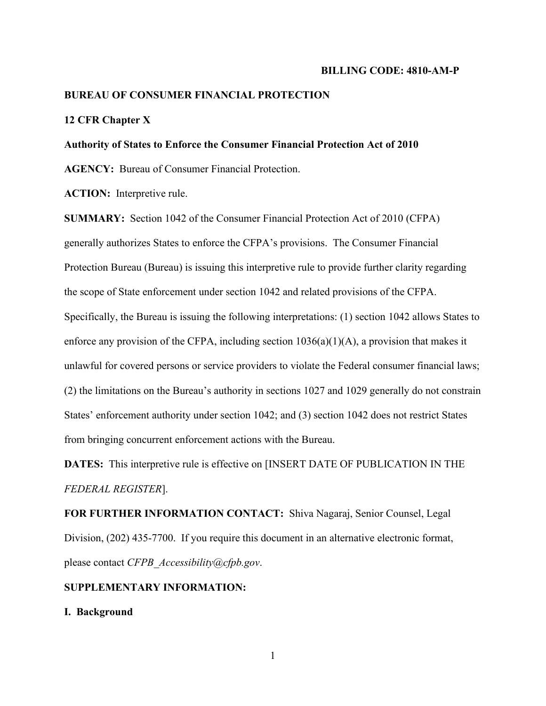#### **BILLING CODE: 4810-AM-P**

# **BUREAU OF CONSUMER FINANCIAL PROTECTION**

## **12 CFR Chapter X**

#### **Authority of States to Enforce the Consumer Financial Protection Act of 2010**

**AGENCY:** Bureau of Consumer Financial Protection.

**ACTION:** Interpretive rule.

**SUMMARY:** Section 1042 of the Consumer Financial Protection Act of 2010 (CFPA) generally authorizes States to enforce the CFPA's provisions. The Consumer Financial Protection Bureau (Bureau) is issuing this interpretive rule to provide further clarity regarding the scope of State enforcement under section 1042 and related provisions of the CFPA. Specifically, the Bureau is issuing the following interpretations: (1) section 1042 allows States to enforce any provision of the CFPA, including section  $1036(a)(1)(A)$ , a provision that makes it unlawful for covered persons or service providers to violate the Federal consumer financial laws; (2) the limitations on the Bureau's authority in sections 1027 and 1029 generally do not constrain States' enforcement authority under section 1042; and (3) section 1042 does not restrict States from bringing concurrent enforcement actions with the Bureau.

**DATES:** This interpretive rule is effective on [INSERT DATE OF PUBLICATION IN THE *FEDERAL REGISTER*].

**FOR FURTHER INFORMATION CONTACT:** Shiva Nagaraj, Senior Counsel, Legal Division, (202) 435-7700. If you require this document in an alternative electronic format, please contact *CFPB\_Accessibility@cfpb.gov*.

# **SUPPLEMENTARY INFORMATION:**

#### **I. Background**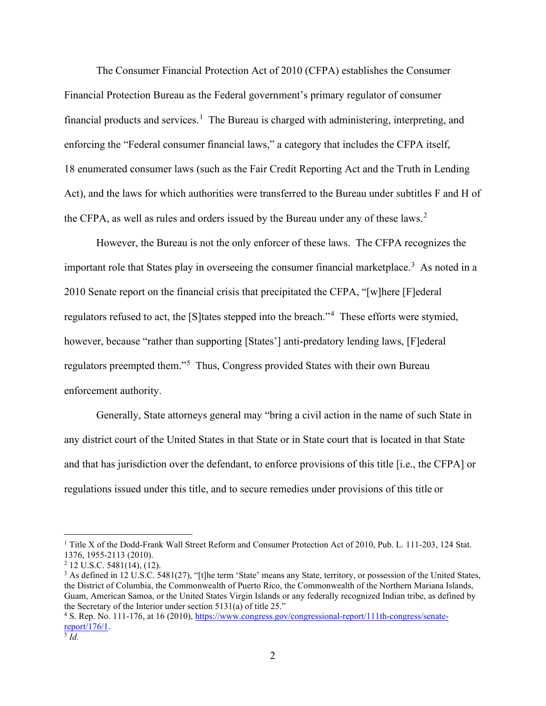The Consumer Financial Protection Act of 2010 (CFPA) establishes the Consumer Financial Protection Bureau as the Federal government's primary regulator of consumer financial products and services.<sup>[1](#page-1-0)</sup> The Bureau is charged with administering, interpreting, and enforcing the "Federal consumer financial laws," a category that includes the CFPA itself, 18 enumerated consumer laws (such as the Fair Credit Reporting Act and the Truth in Lending Act), and the laws for which authorities were transferred to the Bureau under subtitles F and H of the CFPA, as well as rules and orders issued by the Bureau under any of these laws.<sup>[2](#page-1-1)</sup>

However, the Bureau is not the only enforcer of these laws. The CFPA recognizes the important role that States play in overseeing the consumer financial marketplace.<sup>[3](#page-1-2)</sup> As noted in a 2010 Senate report on the financial crisis that precipitated the CFPA, "[w]here [F]ederal regulators refused to act, the [S]tates stepped into the breach."<sup>[4](#page-1-3)</sup> These efforts were stymied, however, because "rather than supporting [States'] anti-predatory lending laws, [F]ederal regulators preempted them."<sup>[5](#page-1-4)</sup> Thus, Congress provided States with their own Bureau enforcement authority.

Generally, State attorneys general may "bring a civil action in the name of such State in any district court of the United States in that State or in State court that is located in that State and that has jurisdiction over the defendant, to enforce provisions of this title [i.e., the CFPA] or regulations issued under this title, and to secure remedies under provisions of this title or

<span id="page-1-0"></span><sup>&</sup>lt;sup>1</sup> Title X of the Dodd-Frank Wall Street Reform and Consumer Protection Act of 2010, Pub. L. 111-203, 124 Stat. 1376, 1955-2113 (2010).

<span id="page-1-1"></span> $2$  12 U.S.C. 5481(14), (12).

<span id="page-1-2"></span><sup>&</sup>lt;sup>3</sup> As defined in 12 U.S.C. 5481(27), "[t]he term 'State' means any State, territory, or possession of the United States, the District of Columbia, the Commonwealth of Puerto Rico, the Commonwealth of the Northern Mariana Islands, Guam, American Samoa, or the United States Virgin Islands or any federally recognized Indian tribe, as defined by the Secretary of the Interior under section 5131(a) of title 25."

<span id="page-1-3"></span><sup>4</sup> S. Rep. No. 111-176, at 16 (2010), [https://www.congress.gov/congressional-report/111th-congress/senate](https://www.congress.gov/congressional-report/111th-congress/senate-report/176/1)[report/176/1.](https://www.congress.gov/congressional-report/111th-congress/senate-report/176/1) 5 *Id.*

<span id="page-1-4"></span>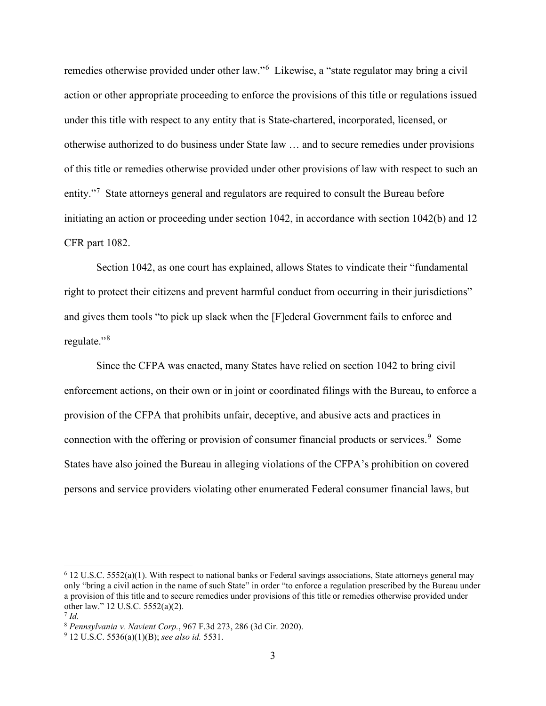remedies otherwise provided under other law."<sup>[6](#page-2-0)</sup> Likewise, a "state regulator may bring a civil action or other appropriate proceeding to enforce the provisions of this title or regulations issued under this title with respect to any entity that is State-chartered, incorporated, licensed, or otherwise authorized to do business under State law … and to secure remedies under provisions of this title or remedies otherwise provided under other provisions of law with respect to such an entity."<sup>[7](#page-2-1)</sup> State attorneys general and regulators are required to consult the Bureau before initiating an action or proceeding under section 1042, in accordance with section 1042(b) and 12 CFR part 1082.

Section 1042, as one court has explained, allows States to vindicate their "fundamental right to protect their citizens and prevent harmful conduct from occurring in their jurisdictions" and gives them tools "to pick up slack when the [F]ederal Government fails to enforce and regulate."[8](#page-2-2)

Since the CFPA was enacted, many States have relied on section 1042 to bring civil enforcement actions, on their own or in joint or coordinated filings with the Bureau, to enforce a provision of the CFPA that prohibits unfair, deceptive, and abusive acts and practices in connection with the offering or provision of consumer financial products or services.<sup>[9](#page-2-3)</sup> Some States have also joined the Bureau in alleging violations of the CFPA's prohibition on covered persons and service providers violating other enumerated Federal consumer financial laws, but

<span id="page-2-0"></span> $6$  12 U.S.C. 5552(a)(1). With respect to national banks or Federal savings associations, State attorneys general may only "bring a civil action in the name of such State" in order "to enforce a regulation prescribed by the Bureau under a provision of this title and to secure remedies under provisions of this title or remedies otherwise provided under other law." 12 U.S.C. 5552(a)(2).

<span id="page-2-1"></span> $^7$  *Id.* 

<span id="page-2-2"></span><sup>8</sup> *Pennsylvania v. Navient Corp.*, 967 F.3d 273, 286 (3d Cir. 2020).

<span id="page-2-3"></span><sup>9</sup> 12 U.S.C. 5536(a)(1)(B); *see also id.* 5531.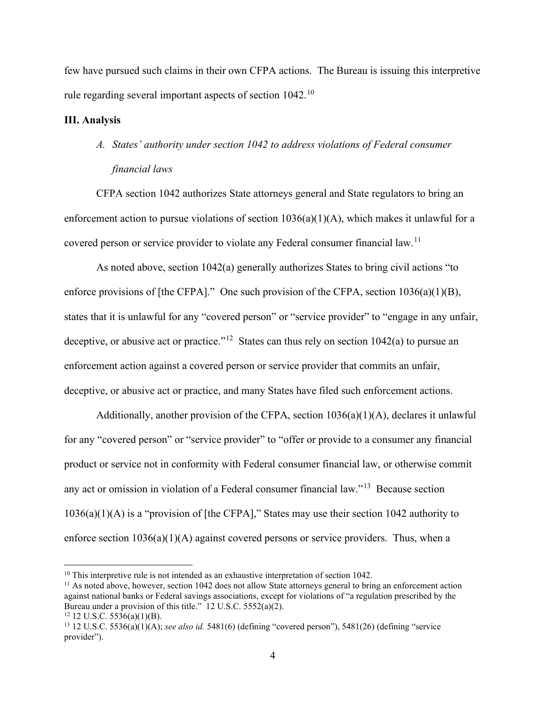few have pursued such claims in their own CFPA actions. The Bureau is issuing this interpretive rule regarding several important aspects of section [10](#page-3-0)42.<sup>10</sup>

#### **III. Analysis**

*A. States' authority under section 1042 to address violations of Federal consumer financial laws* 

CFPA section 1042 authorizes State attorneys general and State regulators to bring an enforcement action to pursue violations of section  $1036(a)(1)(A)$ , which makes it unlawful for a covered person or service provider to violate any Federal consumer financial law.<sup>11</sup>

As noted above, section 1042(a) generally authorizes States to bring civil actions "to enforce provisions of [the CFPA]." One such provision of the CFPA, section 1036(a)(1)(B), states that it is unlawful for any "covered person" or "service provider" to "engage in any unfair, deceptive, or abusive act or practice."<sup>12</sup> States can thus rely on section  $1042(a)$  to pursue an enforcement action against a covered person or service provider that commits an unfair, deceptive, or abusive act or practice, and many States have filed such enforcement actions.

Additionally, another provision of the CFPA, section 1036(a)(1)(A), declares it unlawful for any "covered person" or "service provider" to "offer or provide to a consumer any financial product or service not in conformity with Federal consumer financial law, or otherwise commit any act or omission in violation of a Federal consumer financial law."[13](#page-3-3) Because section 1036(a)(1)(A) is a "provision of [the CFPA]," States may use their section 1042 authority to enforce section  $1036(a)(1)(A)$  against covered persons or service providers. Thus, when a

<span id="page-3-1"></span><span id="page-3-0"></span><sup>&</sup>lt;sup>10</sup> This interpretive rule is not intended as an exhaustive interpretation of section 1042.<br><sup>11</sup> As noted above, however, section 1042 does not allow State attorneys general to bring an enforcement action against national banks or Federal savings associations, except for violations of "a regulation prescribed by the Bureau under a provision of this title." 12 U.S.C. 5552(a)(2).

<span id="page-3-2"></span> $12$  U.S.C. 5536(a)(1)(B).

<span id="page-3-3"></span><sup>13</sup> 12 U.S.C. 5536(a)(1)(A); *see also id.* 5481(6) (defining "covered person"), 5481(26) (defining "service provider").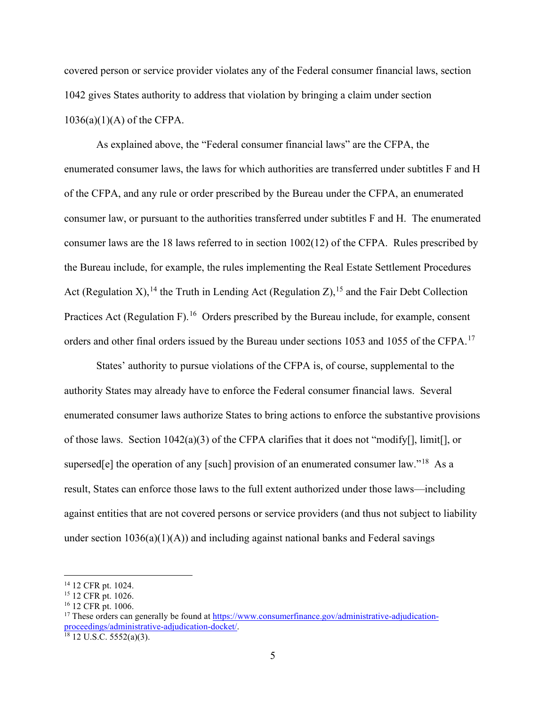covered person or service provider violates any of the Federal consumer financial laws, section 1042 gives States authority to address that violation by bringing a claim under section 1036(a)(1)(A) of the CFPA.

As explained above, the "Federal consumer financial laws" are the CFPA, the enumerated consumer laws, the laws for which authorities are transferred under subtitles F and H of the CFPA, and any rule or order prescribed by the Bureau under the CFPA, an enumerated consumer law, or pursuant to the authorities transferred under subtitles F and H. The enumerated consumer laws are the 18 laws referred to in section 1002(12) of the CFPA. Rules prescribed by the Bureau include, for example, the rules implementing the Real Estate Settlement Procedures Act (Regulation X),<sup>[14](#page-4-0)</sup> the Truth in Lending Act (Regulation Z),<sup>15</sup> and the Fair Debt Collection Practices Act (Regulation F).<sup>16</sup> Orders prescribed by the Bureau include, for example, consent orders and other final orders issued by the Bureau under sections 1053 and 1055 of the CFPA.<sup>[17](#page-4-3)</sup>

States' authority to pursue violations of the CFPA is, of course, supplemental to the authority States may already have to enforce the Federal consumer financial laws. Several enumerated consumer laws authorize States to bring actions to enforce the substantive provisions of those laws. Section  $1042(a)(3)$  of the CFPA clarifies that it does not "modify[], limit[], or supersed[e] the operation of any [such] provision of an enumerated consumer law."<sup>[18](#page-4-4)</sup> As a result, States can enforce those laws to the full extent authorized under those laws—including against entities that are not covered persons or service providers (and thus not subject to liability under section  $1036(a)(1)(A)$  and including against national banks and Federal savings

<span id="page-4-0"></span><sup>14</sup> 12 CFR pt. 1024.

<span id="page-4-1"></span><sup>&</sup>lt;sup>15</sup> 12 CFR pt. 1026.

<span id="page-4-2"></span><sup>16</sup> 12 CFR pt. 1006.

<span id="page-4-3"></span><sup>&</sup>lt;sup>17</sup> These orders can generally be found a[t https://www.consumerfinance.gov/administrative-adjudication](https://www.consumerfinance.gov/administrative-adjudication-proceedings/administrative-adjudication-docket/)[proceedings/administrative-adjudication-docket/.](https://www.consumerfinance.gov/administrative-adjudication-proceedings/administrative-adjudication-docket/)<br><sup>18</sup> 12 U.S.C. 5552(a)(3).

<span id="page-4-4"></span>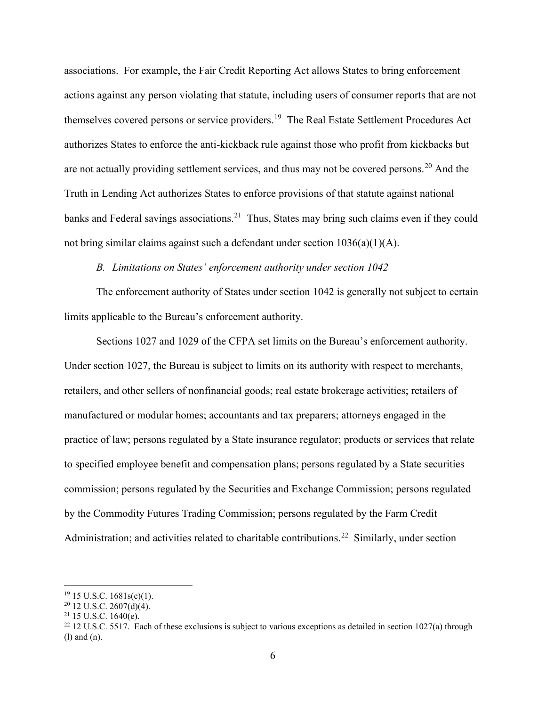associations. For example, the Fair Credit Reporting Act allows States to bring enforcement actions against any person violating that statute, including users of consumer reports that are not themselves covered persons or service providers.<sup>19</sup> The Real Estate Settlement Procedures Act authorizes States to enforce the anti-kickback rule against those who profit from kickbacks but are not actually providing settlement services, and thus may not be covered persons.<sup>20</sup> And the Truth in Lending Act authorizes States to enforce provisions of that statute against national banks and Federal savings associations.<sup>21</sup> Thus, States may bring such claims even if they could not bring similar claims against such a defendant under section 1036(a)(1)(A).

*B. Limitations on States' enforcement authority under section 1042* 

The enforcement authority of States under section 1042 is generally not subject to certain limits applicable to the Bureau's enforcement authority.

Sections 1027 and 1029 of the CFPA set limits on the Bureau's enforcement authority. Under section 1027, the Bureau is subject to limits on its authority with respect to merchants, retailers, and other sellers of nonfinancial goods; real estate brokerage activities; retailers of manufactured or modular homes; accountants and tax preparers; attorneys engaged in the practice of law; persons regulated by a State insurance regulator; products or services that relate to specified employee benefit and compensation plans; persons regulated by a State securities commission; persons regulated by the Securities and Exchange Commission; persons regulated by the Commodity Futures Trading Commission; persons regulated by the Farm Credit Administration; and activities related to charitable contributions.<sup>22</sup> Similarly, under section

<span id="page-5-0"></span> $19$  15 U.S.C.  $1681s(c)(1)$ .

<span id="page-5-1"></span> $20$  12 U.S.C. 2607(d)(4).

<span id="page-5-2"></span> $21$  15 U.S.C. 1640(e).

<span id="page-5-3"></span> $22$  12 U.S.C. 5517. Each of these exclusions is subject to various exceptions as detailed in section 1027(a) through (l) and (n).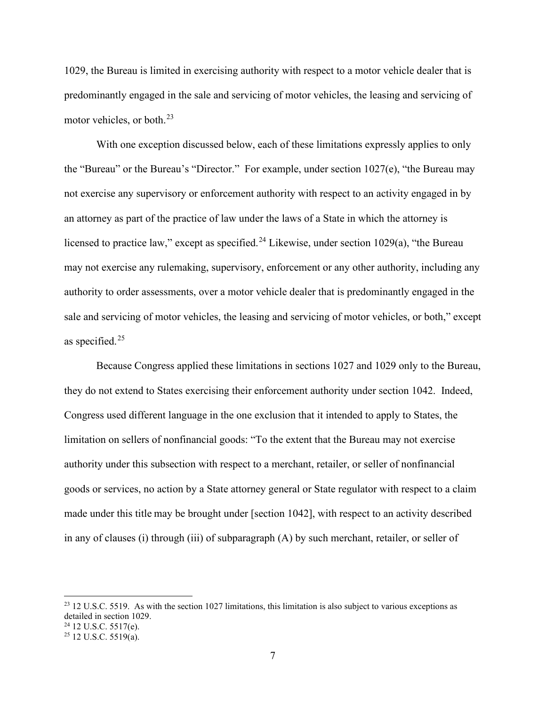1029, the Bureau is limited in exercising authority with respect to a motor vehicle dealer that is predominantly engaged in the sale and servicing of motor vehicles, the leasing and servicing of motor vehicles, or both. $^{23}$  $^{23}$  $^{23}$ 

With one exception discussed below, each of these limitations expressly applies to only the "Bureau" or the Bureau's "Director." For example, under section 1027(e), "the Bureau may not exercise any supervisory or enforcement authority with respect to an activity engaged in by an attorney as part of the practice of law under the laws of a State in which the attorney is licensed to practice law," except as specified.<sup>24</sup> Likewise, under section 1029(a), "the Bureau may not exercise any rulemaking, supervisory, enforcement or any other authority, including any authority to order assessments, over a motor vehicle dealer that is predominantly engaged in the sale and servicing of motor vehicles, the leasing and servicing of motor vehicles, or both," except as specified. [25](#page-6-2)

Because Congress applied these limitations in sections 1027 and 1029 only to the Bureau, they do not extend to States exercising their enforcement authority under section 1042. Indeed, Congress used different language in the one exclusion that it intended to apply to States, the limitation on sellers of nonfinancial goods: "To the extent that the Bureau may not exercise authority under this subsection with respect to a merchant, retailer, or seller of nonfinancial goods or services, no action by a State attorney general or State regulator with respect to a claim made under this title may be brought under [section 1042], with respect to an activity described in any of clauses (i) through (iii) of subparagraph (A) by such merchant, retailer, or seller of

<span id="page-6-0"></span> $^{23}$  12 U.S.C. 5519. As with the section 1027 limitations, this limitation is also subject to various exceptions as detailed in section 1029.  $24$  12 U.S.C. 5517(e).

<span id="page-6-2"></span><span id="page-6-1"></span> $25$  12 U.S.C. 5519(a).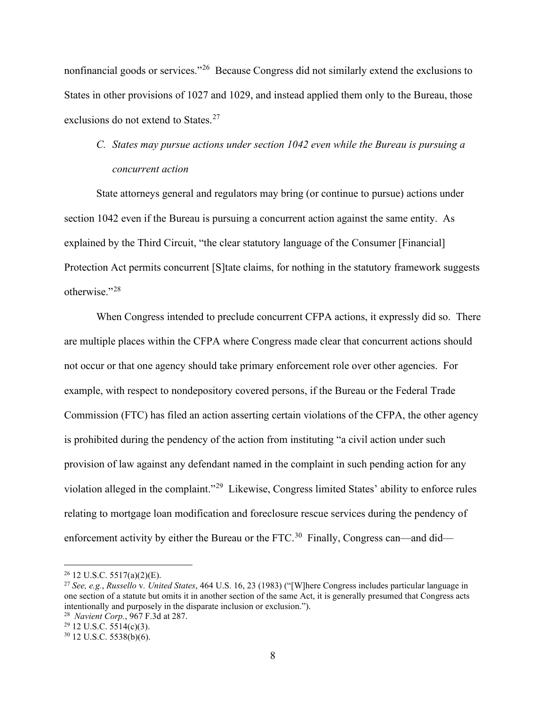nonfinancial goods or services."[26](#page-7-0) Because Congress did not similarly extend the exclusions to States in other provisions of 1027 and 1029, and instead applied them only to the Bureau, those exclusions do not extend to States.<sup>[27](#page-7-1)</sup>

# *C. States may pursue actions under section 1042 even while the Bureau is pursuing a concurrent action*

State attorneys general and regulators may bring (or continue to pursue) actions under section 1042 even if the Bureau is pursuing a concurrent action against the same entity. As explained by the Third Circuit, "the clear statutory language of the Consumer [Financial] Protection Act permits concurrent [S]tate claims, for nothing in the statutory framework suggests otherwise."[28](#page-7-2) 

When Congress intended to preclude concurrent CFPA actions, it expressly did so. There are multiple places within the CFPA where Congress made clear that concurrent actions should not occur or that one agency should take primary enforcement role over other agencies. For example, with respect to nondepository covered persons, if the Bureau or the Federal Trade Commission (FTC) has filed an action asserting certain violations of the CFPA, the other agency is prohibited during the pendency of the action from instituting "a civil action under such provision of law against any defendant named in the complaint in such pending action for any violation alleged in the complaint."[29](#page-7-3) Likewise, Congress limited States' ability to enforce rules relating to mortgage loan modification and foreclosure rescue services during the pendency of enforcement activity by either the Bureau or the FTC.<sup>30</sup> Finally, Congress can—and did—

<span id="page-7-0"></span> $26$  12 U.S.C. 5517(a)(2)(E).

<span id="page-7-1"></span><sup>27</sup> *See, e.g.*, *Russello* v*. United States*, 464 U.S. 16, 23 (1983) ("[W]here Congress includes particular language in one section of a statute but omits it in another section of the same Act, it is generally presumed that Congress acts intentionally and purposely in the disparate inclusion or exclusion.").

<span id="page-7-2"></span><sup>28</sup> *Navient Corp.*, 967 F.3d at 287.

<span id="page-7-3"></span> $29$  12 U.S.C. 5514(c)(3).

<span id="page-7-4"></span> $30$  12 U.S.C. 5538(b)(6).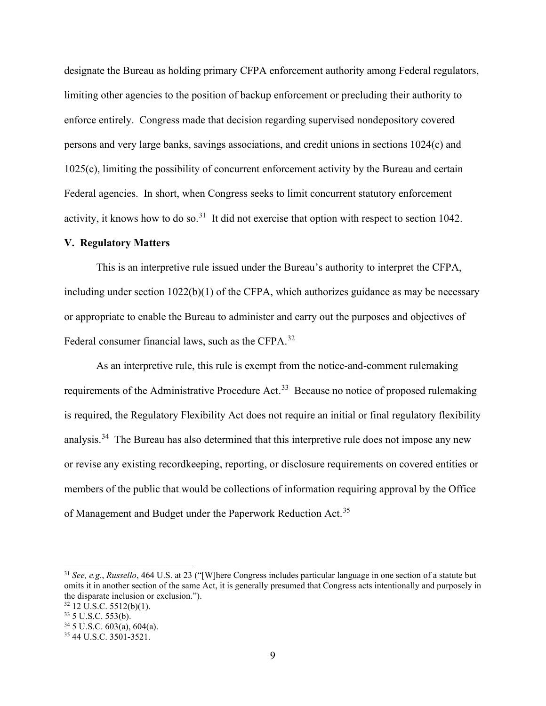designate the Bureau as holding primary CFPA enforcement authority among Federal regulators, limiting other agencies to the position of backup enforcement or precluding their authority to enforce entirely. Congress made that decision regarding supervised nondepository covered persons and very large banks, savings associations, and credit unions in sections 1024(c) and 1025(c), limiting the possibility of concurrent enforcement activity by the Bureau and certain Federal agencies. In short, when Congress seeks to limit concurrent statutory enforcement activity, it knows how to do so.<sup>[31](#page-8-0)</sup> It did not exercise that option with respect to section 1042.

## **V. Regulatory Matters**

This is an interpretive rule issued under the Bureau's authority to interpret the CFPA, including under section  $1022(b)(1)$  of the CFPA, which authorizes guidance as may be necessary or appropriate to enable the Bureau to administer and carry out the purposes and objectives of Federal consumer financial laws, such as the CFPA.<sup>[32](#page-8-1)</sup>

As an interpretive rule, this rule is exempt from the notice-and-comment rulemaking requirements of the Administrative Procedure Act.<sup>[33](#page-8-2)</sup> Because no notice of proposed rulemaking is required, the Regulatory Flexibility Act does not require an initial or final regulatory flexibility analysis.<sup>[34](#page-8-3)</sup> The Bureau has also determined that this interpretive rule does not impose any new or revise any existing recordkeeping, reporting, or disclosure requirements on covered entities or members of the public that would be collections of information requiring approval by the Office of Management and Budget under the Paperwork Reduction Act.<sup>35</sup>

<span id="page-8-0"></span><sup>31</sup> *See, e.g.*, *Russello*, 464 U.S. at 23 ("[W]here Congress includes particular language in one section of a statute but omits it in another section of the same Act, it is generally presumed that Congress acts intentionally and purposely in the disparate inclusion or exclusion.").

<span id="page-8-1"></span> $32$  12 U.S.C. 5512(b)(1).<br> $33$  5 U.S.C. 553(b).

<span id="page-8-2"></span>

<span id="page-8-3"></span> $34\,5$  U.S.C. 603(a), 604(a).

<span id="page-8-4"></span><sup>35</sup> 44 U.S.C. 3501-3521.